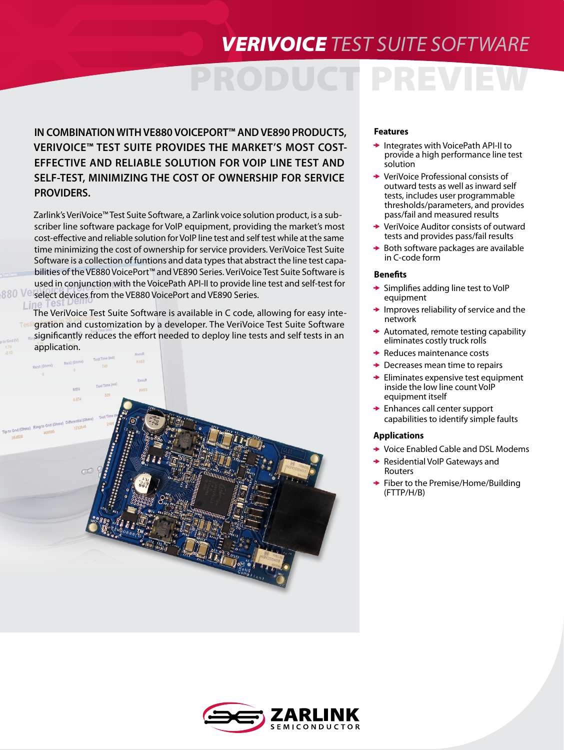## *VERIVOICE TEST SUITE SOFTWARE*

# PREV

**IN COMBINATION WITH VE880 VOICEPORT™ AND VE890 PRODUCTS, VERIVOICE™ TEST SUITE PROVIDES THE MARKET'S MOST COST-EFFECTIVE AND RELIABLE SOLUTION FOR VOIP LINE TEST AND SELF-TEST, MINIMIZING THE COST OF OWNERSHIP FOR SERVICE PROVIDERS.**

Zarlink's VeriVoice™ Test Suite Software, a Zarlink voice solution product, is a subscriber line software package for VoIP equipment, providing the market's most cost-effective and reliable solution for VoIP line test and self test while at the same time minimizing the cost of ownership for service providers. VeriVoice Test Suite Software is a collection of funtions and data types that abstract the line test capabilities of the VE880 VoicePort™ and VE890 Series. VeriVoice Test Suite Software is used in conjunction with the VoicePath API-II to provide line test and self-test for select devices from the VE880 VoicePort and VE890 Series.

The VeriVoice Test Suite Software is available in C code, allowing for easy integration and customization by a developer. The VeriVoice Test Suite Software significantly reduces the effort needed to deploy line tests and self tests in an application.

880 Ve



## **Features**

- $\rightarrow$  Integrates with VoicePath API-II to provide a high performance line test solution
- VeriVoice Professional consists of outward tests as well as inward self tests, includes user programmable thresholds/parameters, and provides pass/fail and measured results
- **→ VeriVoice Auditor consists of outward** tests and provides pass/fail results
- $\rightarrow$  Both software packages are available in C-code form

### **Benefits**

- $\rightarrow$  Simplifies adding line test to VoIP equipment
- $\rightarrow$  Improves reliability of service and the network
- Automated, remote testing capability eliminates costly truck rolls
- $\rightarrow$  Reduces maintenance costs
- $\rightarrow$  Decreases mean time to repairs
- $\rightarrow$  Eliminates expensive test equipment inside the low line count VoIP equipment itself
- **► Enhances call center support** capabilities to identify simple faults

### **Applications**

- **→ Voice Enabled Cable and DSL Modems**
- Residential VoIP Gateways and Routers
- ◆ Fiber to the Premise/Home/Building (FTTP/H/B)